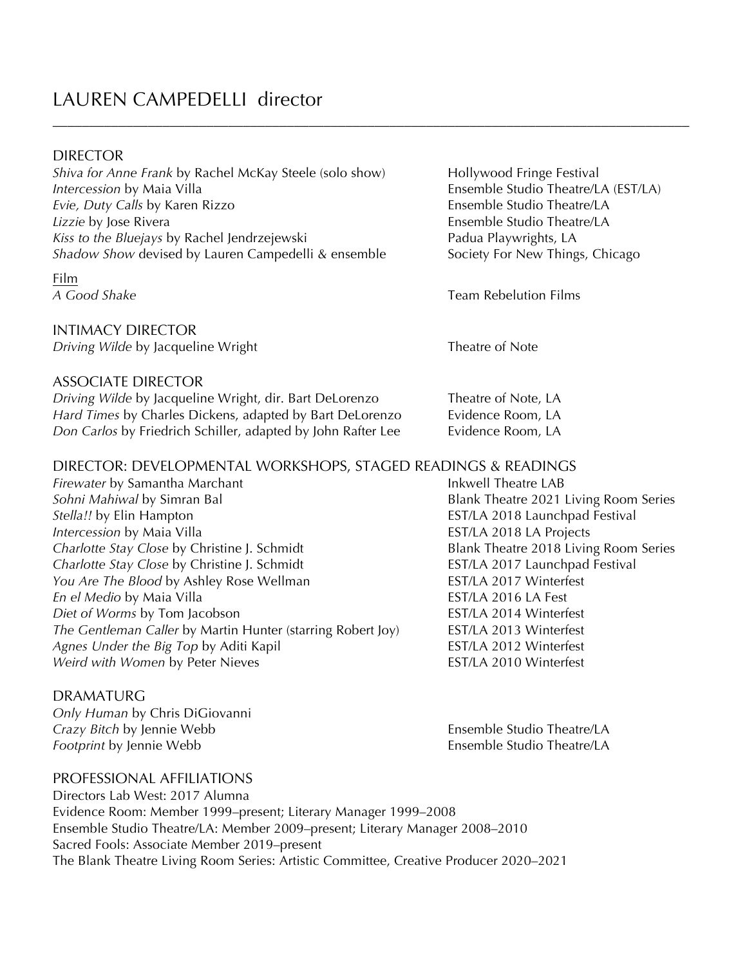## LAUREN CAMPEDELLI director

#### DIRECTOR

*Shiva for Anne Frank* by Rachel McKay Steele (solo show) Hollywood Fringe Festival *Intercession* by Maia Villa **Ensemble Studio Theatre/LA (EST/LA)** *Evie, Duty Calls* by Karen Rizzo **Ensemble Studio Theatre/LA** *Lizzie* by Jose Rivera **Ensemble Studio Theatre/LA** Kiss to the Bluejays by Rachel Jendrzejewski **Padua Playwrights**, LA *Shadow Show* devised by Lauren Campedelli & ensemble Society For New Things, Chicago

# Film

INTIMACY DIRECTOR *Driving Wilde* by Jacqueline Wright Theatre of Note

### ASSOCIATE DIRECTOR

*Driving Wilde* by Jacqueline Wright, dir. Bart DeLorenzo **Theatre of Note, LA** *Hard Times* by Charles Dickens, adapted by Bart DeLorenzo **Evidence Room**, LA *Don Carlos* by Friedrich Schiller, adapted by John Rafter Lee **Evidence Room**, LA

### DIRECTOR: DEVELOPMENTAL WORKSHOPS, STAGED READINGS & READINGS

\_\_\_\_\_\_\_\_\_\_\_\_\_\_\_\_\_\_\_\_\_\_\_\_\_\_\_\_\_\_\_\_\_\_\_\_\_\_\_\_\_\_\_\_\_\_\_\_\_\_\_\_\_\_\_\_\_\_\_\_\_\_\_\_\_\_\_\_\_\_\_\_\_\_\_\_\_\_\_\_\_\_\_\_\_\_\_

*Firewater* by Samantha Marchant **Information Communist Communist Communist Communist Communist Communist Communist Communist Communist Communist Communist Communist Communist Communist Communist Communist Communist Commun** *Stella!!* by Elin Hampton **EST/LA 2018 Launchpad Festival** *Intercession* by Maia Villa **EST/LA 2018 LA Projects** *Charlotte Stay Close* by Christine J. Schmidt Blank Theatre 2018 Living Room Series *Charlotte Stay Close* by Christine J. Schmidt **EST/LA 2017** Launchpad Festival *You Are The Blood by Ashley Rose Wellman* EST/LA 2017 Winterfest *En el Medio* by Maia Villa **EST/LA 2016** LA Fest *Diet of Worms* by Tom Jacobson **EST/LA 2014 Winterfest** *The Gentleman Caller* by Martin Hunter (starring Robert Joy) EST/LA 2013 Winterfest *Agnes Under the Big Top* by Aditi Kapil **EST/LA 2012** Winterfest *Weird with Women* by Peter Nieves **EST/LA 2010 Winterfest** 

#### DRAMATURG

*Only Human* by Chris DiGiovanni *Crazy Bitch* by Jennie Webb **Ensemble Studio Theatre/LA** *Footprint* by Jennie Webb **Ensemble Studio Theatre/LA** 

PROFESSIONAL AFFILIATIONS

Directors Lab West: 2017 Alumna Evidence Room: Member 1999–present; Literary Manager 1999–2008 Ensemble Studio Theatre/LA: Member 2009–present; Literary Manager 2008–2010 Sacred Fools: Associate Member 2019–present The Blank Theatre Living Room Series: Artistic Committee, Creative Producer 2020–2021

*A Good Shake* Team Rebelution Films

**Blank Theatre 2021 Living Room Series**